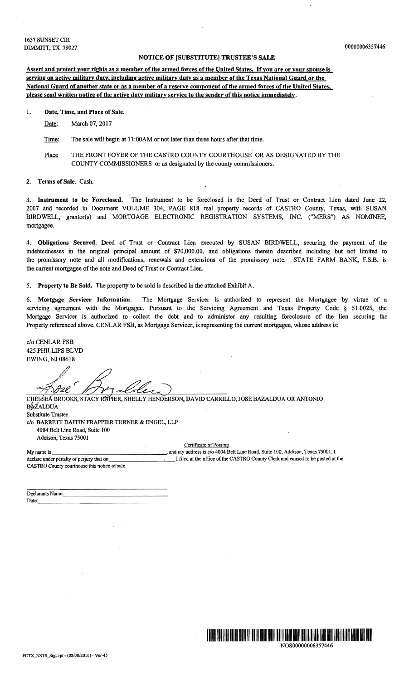## NOTICE OF [SUBSTITUTE] TRUSTEE'S SALE

Assert and protect your rights as a member of the armed forces of the United States. Ifyou are or your spouse is serving on active military duty, including active military duty as a member of the Texas National Guard or the National Guard of another state or as a member of a reserye component of the armed forces of the United States, please send written notice of the active duty military service to the sender of this notice immediately.

1. Date, Time, and Place of Sale.

Date: March 07, 2017

Time: The sale will begin at 11:00AM or not later than three hours after that time.

Place THE FRONT FOYER OF THE CASTRO COUNTY COURTHOUSE OR AS DESIGNATED BY THE COUNTY COMMISSIONERS or as designated by the county commissioners.

## Terms of Sale. Cash.

3. Instrument to be Foreclosed. The Instrument to be foreclosed is the Deed of Trust or Contract Lien dated June 22, 2007 and recorded in Document VOLUME 304, PAGE 818 real property records of CASTRO County, Texas, with SUSAN BIRDWELL, grantor(s) and MORTGAGE ELECTRONIC REGISTRATION SYSTEMS, INC. ("MERS") AS NOMINEE, mortgagee.

4. Obligations Secured. Deed of Trust or Contract Lien executed by SUSAN BIRDWELL, securing the payment of the indebtednesses in the original principal amount of \$70,000.00, and obligations therein described including but not limited to the promissory note and all modifications, renewals and extensions of the promissory note. STATE FARM BANK, F.S.B. is the current mortgagee of the note and Deed of Trust or Contract Lien.

5. Property to Be Sold. The property to be sold is described in the attached Exhibit A.

6. Mortgage Servicer Information. The Mortgage Servicer is authorized to represent the Mortgagee by virtue of a servicing agreement with the Mortgagee. Pursuant to the Servicing Agreement and Texas Property Code § 51.0025, the Mortgage Servicer is authorized to collect the debt and to administer any resulting foreclosure of the lien securing the Property referenced above. CENLAR FSB, as Mortgage Servicer, is representing the current mortgagee, whose address is:

c/o CENLAR FSB 425 PHILLIPS BLVD EWING, NJ 08618

 $\gamma$ dze

CHELŚEÁ BROOKS, STACY RÁPIER, SHELLY HENDERSON, DAVID CARRILLO, JOSE BAZALDUA OR ANTONIO BAZALDUA Substitute Trustee c/o BARRETI DAFFIN FRAPPIER TURNER & ENGEL, LLP 4004 Belt Line Road, Suite 100 Addison, Texas 75001

Certificate of Posting

My name is \_\_\_\_\_\_\_\_\_\_\_\_\_\_\_--", and my address is c/o 4004 Belt Line Road, Suite 100, Addison, Texas 75001.1 I filed at the office of the CASTRO County Clerk and caused to be posted at the CASTRO County courthouse this notice of sale.

Declarants Name: Date:,\_\_\_\_\_\_\_\_\_\_\_\_\_\_\_\_\_\_